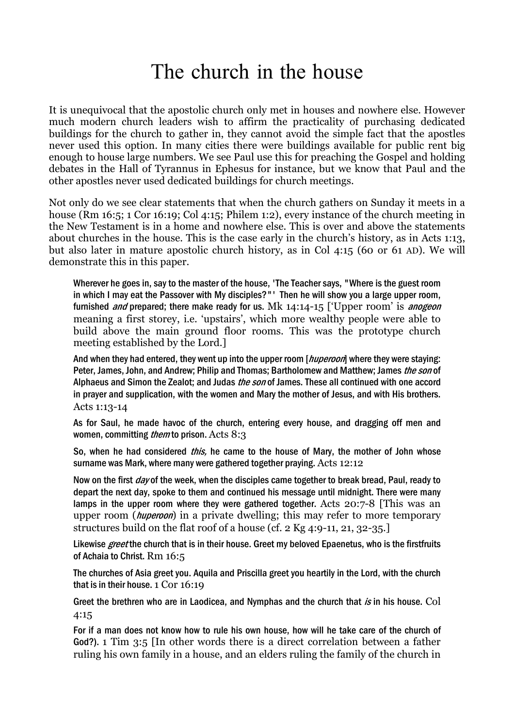## The church in the house

It is unequivocal that the apostolic church only met in houses and nowhere else. However much modern church leaders wish to affirm the practicality of purchasing dedicated buildings for the church to gather in, they cannot avoid the simple fact that the apostles never used this option. In many cities there were buildings available for public rent big enough to house large numbers. We see Paul use this for preaching the Gospel and holding debates in the Hall of Tyrannus in Ephesus for instance, but we know that Paul and the other apostles never used dedicated buildings for church meetings.

Not only do we see clear statements that when the church gathers on Sunday it meets in a house (Rm 16:5; 1 Cor 16:19; Col 4:15; Philem 1:2), every instance of the church meeting in the New Testament is in a home and nowhere else. This is over and above the statements about churches in the house. This is the case early in the church's history, as in Acts 1:13, but also later in mature apostolic church history, as in Col 4:15 (60 or 61 AD). We will demonstrate this in this paper.

Wherever he goes in, say to the master of the house, 'The Teacher says, "Where is the guest room in which I may eat the Passover with My disciples?"' Then he will show you a large upper room, furnished *and* prepared; there make ready for us. Mk  $14:14-15$  ['Upper room' is *anogeon* meaning a first storey, i.e. 'upstairs', which more wealthy people were able to build above the main ground floor rooms. This was the prototype church meeting established by the Lord.]

And when they had entered, they went up into the upper room [*huperoon*] where they were staying: Peter, James, John, and Andrew; Philip and Thomas; Bartholomew and Matthew; James the son of Alphaeus and Simon the Zealot; and Judas the son of James. These all continued with one accord in prayer and supplication, with the women and Mary the mother of Jesus, and with His brothers. Acts 1:13-14

As for Saul, he made havoc of the church, entering every house, and dragging off men and women, committing *them* to prison. Acts 8:3

So, when he had considered *this*, he came to the house of Mary, the mother of John whose surname was Mark, where many were gathered together praying. Acts 12:12

Now on the first *day* of the week, when the disciples came together to break bread, Paul, ready to depart the next day, spoke to them and continued his message until midnight. There were many lamps in the upper room where they were gathered together. Acts 20:7-8 [This was an upper room (*huperoon*) in a private dwelling; this may refer to more temporary structures build on the flat roof of a house (cf. 2 Kg 4:9-11, 21, 32-35.]

Likewise *greet* the church that is in their house. Greet my beloved Epaenetus, who is the firstfruits of Achaia to Christ. Rm 16:5

The churches of Asia greet you. Aquila and Priscilla greet you heartily in the Lord, with the church that is in their house. 1 Cor 16:19

Greet the brethren who are in Laodicea, and Nymphas and the church that  $i\mathbf{s}$  in his house. Col 4:15

For if a man does not know how to rule his own house, how will he take care of the church of God?). 1 Tim 3:5 [In other words there is a direct correlation between a father ruling his own family in a house, and an elders ruling the family of the church in